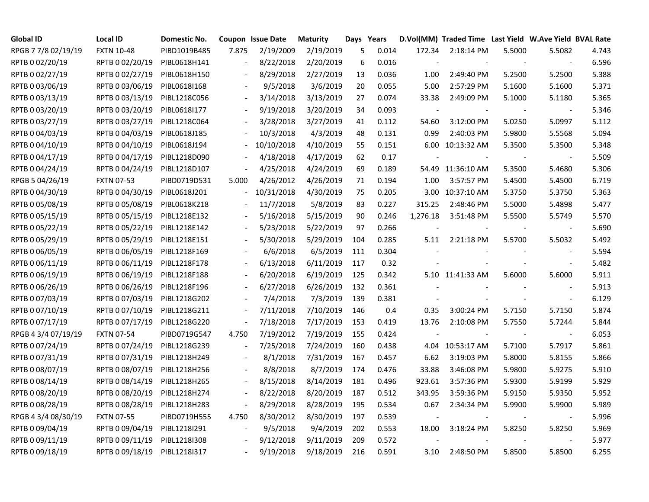| Global ID           | <b>Local ID</b>   | Domestic No. |                          | <b>Coupon Issue Date</b> | <b>Maturity</b> | Days Years |       |                | D.Vol(MM) Traded Time Last Yield W.Ave Yield BVAL Rate |        |                          |       |
|---------------------|-------------------|--------------|--------------------------|--------------------------|-----------------|------------|-------|----------------|--------------------------------------------------------|--------|--------------------------|-------|
| RPGB 7 7/8 02/19/19 | <b>FXTN 10-48</b> | PIBD1019B485 | 7.875                    | 2/19/2009                | 2/19/2019       | 5          | 0.014 | 172.34         | 2:18:14 PM                                             | 5.5000 | 5.5082                   | 4.743 |
| RPTB 0 02/20/19     | RPTB 0 02/20/19   | PIBL0618H141 | $\overline{a}$           | 8/22/2018                | 2/20/2019       | 6          | 0.016 |                | $\overline{\phantom{a}}$                               |        | $\blacksquare$           | 6.596 |
| RPTB 0 02/27/19     | RPTB 0 02/27/19   | PIBL0618H150 |                          | 8/29/2018                | 2/27/2019       | 13         | 0.036 | 1.00           | 2:49:40 PM                                             | 5.2500 | 5.2500                   | 5.388 |
| RPTB 0 03/06/19     | RPTB 0 03/06/19   | PIBL0618I168 |                          | 9/5/2018                 | 3/6/2019        | 20         | 0.055 | 5.00           | 2:57:29 PM                                             | 5.1600 | 5.1600                   | 5.371 |
| RPTB 0 03/13/19     | RPTB 0 03/13/19   | PIBL1218C056 | $\overline{\phantom{a}}$ | 3/14/2018                | 3/13/2019       | 27         | 0.074 | 33.38          | 2:49:09 PM                                             | 5.1000 | 5.1180                   | 5.365 |
| RPTB 0 03/20/19     | RPTB 0 03/20/19   | PIBL0618I177 | $\overline{\phantom{a}}$ | 9/19/2018                | 3/20/2019       | 34         | 0.093 |                |                                                        |        |                          | 5.346 |
| RPTB 0 03/27/19     | RPTB 0 03/27/19   | PIBL1218C064 | $\overline{\phantom{a}}$ | 3/28/2018                | 3/27/2019       | 41         | 0.112 | 54.60          | 3:12:00 PM                                             | 5.0250 | 5.0997                   | 5.112 |
| RPTB 0 04/03/19     | RPTB 0 04/03/19   | PIBL0618J185 | $\sim$                   | 10/3/2018                | 4/3/2019        | 48         | 0.131 | 0.99           | 2:40:03 PM                                             | 5.9800 | 5.5568                   | 5.094 |
| RPTB 0 04/10/19     | RPTB 0 04/10/19   | PIBL0618J194 |                          | 10/10/2018               | 4/10/2019       | 55         | 0.151 |                | 6.00 10:13:32 AM                                       | 5.3500 | 5.3500                   | 5.348 |
| RPTB 0 04/17/19     | RPTB 0 04/17/19   | PIBL1218D090 |                          | 4/18/2018                | 4/17/2019       | 62         | 0.17  |                |                                                        |        |                          | 5.509 |
| RPTB 0 04/24/19     | RPTB 0 04/24/19   | PIBL1218D107 | $\overline{\phantom{a}}$ | 4/25/2018                | 4/24/2019       | 69         | 0.189 |                | 54.49 11:36:10 AM                                      | 5.3500 | 5.4680                   | 5.306 |
| RPGB 5 04/26/19     | <b>FXTN 07-53</b> | PIBD0719D531 | 5.000                    | 4/26/2012                | 4/26/2019       | 71         | 0.194 | 1.00           | 3:57:57 PM                                             | 5.4500 | 5.4500                   | 6.719 |
| RPTB 0 04/30/19     | RPTB 0 04/30/19   | PIBL0618J201 |                          | 10/31/2018               | 4/30/2019       | 75         | 0.205 |                | 3.00 10:37:10 AM                                       | 5.3750 | 5.3750                   | 5.363 |
| RPTB 0 05/08/19     | RPTB 0 05/08/19   | PIBL0618K218 |                          | 11/7/2018                | 5/8/2019        | 83         | 0.227 | 315.25         | 2:48:46 PM                                             | 5.5000 | 5.4898                   | 5.477 |
| RPTB 0 05/15/19     | RPTB 0 05/15/19   | PIBL1218E132 |                          | 5/16/2018                | 5/15/2019       | 90         | 0.246 | 1,276.18       | 3:51:48 PM                                             | 5.5500 | 5.5749                   | 5.570 |
| RPTB 0 05/22/19     | RPTB 0 05/22/19   | PIBL1218E142 |                          | 5/23/2018                | 5/22/2019       | 97         | 0.266 |                |                                                        |        |                          | 5.690 |
| RPTB 0 05/29/19     | RPTB 0 05/29/19   | PIBL1218E151 | $\overline{\phantom{a}}$ | 5/30/2018                | 5/29/2019       | 104        | 0.285 | 5.11           | 2:21:18 PM                                             | 5.5700 | 5.5032                   | 5.492 |
| RPTB 0 06/05/19     | RPTB 0 06/05/19   | PIBL1218F169 | $\overline{\phantom{a}}$ | 6/6/2018                 | 6/5/2019        | 111        | 0.304 |                |                                                        |        |                          | 5.594 |
| RPTB 0 06/11/19     | RPTB 0 06/11/19   | PIBL1218F178 | $\overline{\phantom{a}}$ | 6/13/2018                | 6/11/2019       | 117        | 0.32  |                |                                                        |        |                          | 5.482 |
| RPTB 0 06/19/19     | RPTB 0 06/19/19   | PIBL1218F188 | $\overline{\phantom{a}}$ | 6/20/2018                | 6/19/2019       | 125        | 0.342 |                | 5.10 11:41:33 AM                                       | 5.6000 | 5.6000                   | 5.911 |
| RPTB 0 06/26/19     | RPTB 0 06/26/19   | PIBL1218F196 |                          | 6/27/2018                | 6/26/2019       | 132        | 0.361 |                |                                                        |        |                          | 5.913 |
| RPTB 0 07/03/19     | RPTB 0 07/03/19   | PIBL1218G202 |                          | 7/4/2018                 | 7/3/2019        | 139        | 0.381 |                |                                                        |        |                          | 6.129 |
| RPTB 0 07/10/19     | RPTB 0 07/10/19   | PIBL1218G211 |                          | 7/11/2018                | 7/10/2019       | 146        | 0.4   | 0.35           | 3:00:24 PM                                             | 5.7150 | 5.7150                   | 5.874 |
| RPTB 0 07/17/19     | RPTB 0 07/17/19   | PIBL1218G220 | $\overline{a}$           | 7/18/2018                | 7/17/2019       | 153        | 0.419 | 13.76          | 2:10:08 PM                                             | 5.7550 | 5.7244                   | 5.844 |
| RPGB 4 3/4 07/19/19 | <b>FXTN 07-54</b> | PIBD0719G547 | 4.750                    | 7/19/2012                | 7/19/2019       | 155        | 0.424 | $\overline{a}$ | $\sim$                                                 |        | $\overline{\phantom{a}}$ | 6.053 |
| RPTB 0 07/24/19     | RPTB 0 07/24/19   | PIBL1218G239 |                          | 7/25/2018                | 7/24/2019       | 160        | 0.438 |                | 4.04 10:53:17 AM                                       | 5.7100 | 5.7917                   | 5.861 |
| RPTB 0 07/31/19     | RPTB 0 07/31/19   | PIBL1218H249 |                          | 8/1/2018                 | 7/31/2019       | 167        | 0.457 | 6.62           | 3:19:03 PM                                             | 5.8000 | 5.8155                   | 5.866 |
| RPTB 0 08/07/19     | RPTB 0 08/07/19   | PIBL1218H256 |                          | 8/8/2018                 | 8/7/2019        | 174        | 0.476 | 33.88          | 3:46:08 PM                                             | 5.9800 | 5.9275                   | 5.910 |
| RPTB 0 08/14/19     | RPTB 0 08/14/19   | PIBL1218H265 |                          | 8/15/2018                | 8/14/2019       | 181        | 0.496 | 923.61         | 3:57:36 PM                                             | 5.9300 | 5.9199                   | 5.929 |
| RPTB 0 08/20/19     | RPTB 0 08/20/19   | PIBL1218H274 | $\overline{a}$           | 8/22/2018                | 8/20/2019       | 187        | 0.512 | 343.95         | 3:59:36 PM                                             | 5.9150 | 5.9350                   | 5.952 |
| RPTB 0 08/28/19     | RPTB 0 08/28/19   | PIBL1218H283 | $\overline{a}$           | 8/29/2018                | 8/28/2019       | 195        | 0.534 | 0.67           | 2:34:34 PM                                             | 5.9900 | 5.9900                   | 5.989 |
| RPGB 4 3/4 08/30/19 | <b>FXTN 07-55</b> | PIBD0719H555 | 4.750                    | 8/30/2012                | 8/30/2019       | 197        | 0.539 |                | $\blacksquare$                                         |        |                          | 5.996 |
| RPTB 0 09/04/19     | RPTB 0 09/04/19   | PIBL1218I291 |                          | 9/5/2018                 | 9/4/2019        | 202        | 0.553 | 18.00          | 3:18:24 PM                                             | 5.8250 | 5.8250                   | 5.969 |
| RPTB 0 09/11/19     | RPTB 0 09/11/19   | PIBL1218I308 |                          | 9/12/2018                | 9/11/2019       | 209        | 0.572 |                |                                                        |        |                          | 5.977 |
| RPTB 0 09/18/19     | RPTB 0 09/18/19   | PIBL1218I317 |                          | 9/19/2018                | 9/18/2019       | 216        | 0.591 | 3.10           | 2:48:50 PM                                             | 5.8500 | 5.8500                   | 6.255 |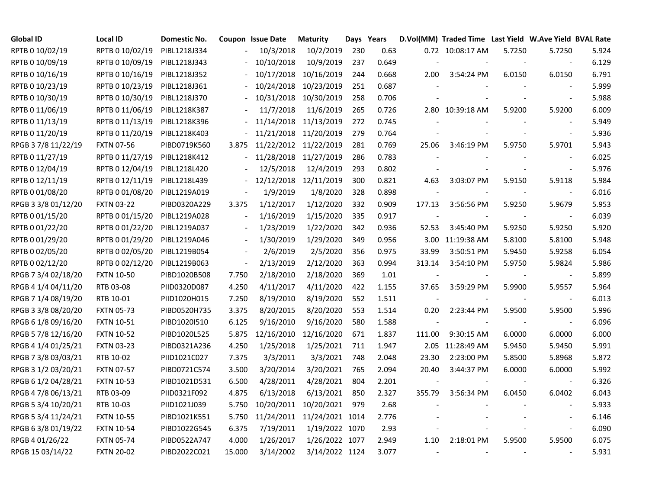| <b>Global ID</b>    | <b>Local ID</b>   | Domestic No. |                          | Coupon Issue Date | <b>Maturity</b> | Days Years |       |        | D.Vol(MM) Traded Time Last Yield W.Ave Yield BVAL Rate |        |                          |       |
|---------------------|-------------------|--------------|--------------------------|-------------------|-----------------|------------|-------|--------|--------------------------------------------------------|--------|--------------------------|-------|
| RPTB 0 10/02/19     | RPTB 0 10/02/19   | PIBL1218J334 |                          | 10/3/2018         | 10/2/2019       | 230        | 0.63  |        | 0.72 10:08:17 AM                                       | 5.7250 | 5.7250                   | 5.924 |
| RPTB 0 10/09/19     | RPTB 0 10/09/19   | PIBL1218J343 |                          | 10/10/2018        | 10/9/2019       | 237        | 0.649 |        |                                                        |        | $\blacksquare$           | 6.129 |
| RPTB 0 10/16/19     | RPTB 0 10/16/19   | PIBL1218J352 |                          | 10/17/2018        | 10/16/2019      | 244        | 0.668 | 2.00   | 3:54:24 PM                                             | 6.0150 | 6.0150                   | 6.791 |
| RPTB 0 10/23/19     | RPTB 0 10/23/19   | PIBL1218J361 |                          | 10/24/2018        | 10/23/2019      | 251        | 0.687 |        |                                                        |        |                          | 5.999 |
| RPTB 0 10/30/19     | RPTB 0 10/30/19   | PIBL1218J370 |                          | 10/31/2018        | 10/30/2019      | 258        | 0.706 |        |                                                        |        |                          | 5.988 |
| RPTB 0 11/06/19     | RPTB 0 11/06/19   | PIBL1218K387 |                          | 11/7/2018         | 11/6/2019       | 265        | 0.726 |        | 2.80 10:39:18 AM                                       | 5.9200 | 5.9200                   | 6.009 |
| RPTB 0 11/13/19     | RPTB 0 11/13/19   | PIBL1218K396 | $\frac{1}{2}$            | 11/14/2018        | 11/13/2019      | 272        | 0.745 |        |                                                        |        |                          | 5.949 |
| RPTB 0 11/20/19     | RPTB 0 11/20/19   | PIBL1218K403 |                          | 11/21/2018        | 11/20/2019      | 279        | 0.764 |        |                                                        |        |                          | 5.936 |
| RPGB 37/8 11/22/19  | <b>FXTN 07-56</b> | PIBD0719K560 | 3.875                    | 11/22/2012        | 11/22/2019      | 281        | 0.769 | 25.06  | 3:46:19 PM                                             | 5.9750 | 5.9701                   | 5.943 |
| RPTB 0 11/27/19     | RPTB 0 11/27/19   | PIBL1218K412 |                          | 11/28/2018        | 11/27/2019      | 286        | 0.783 |        |                                                        |        |                          | 6.025 |
| RPTB 0 12/04/19     | RPTB 0 12/04/19   | PIBL1218L420 |                          | 12/5/2018         | 12/4/2019       | 293        | 0.802 |        |                                                        |        |                          | 5.976 |
| RPTB 0 12/11/19     | RPTB 0 12/11/19   | PIBL1218L439 |                          | 12/12/2018        | 12/11/2019      | 300        | 0.821 | 4.63   | 3:03:07 PM                                             | 5.9150 | 5.9118                   | 5.984 |
| RPTB 0 01/08/20     | RPTB 0 01/08/20   | PIBL1219A019 |                          | 1/9/2019          | 1/8/2020        | 328        | 0.898 |        | $\blacksquare$                                         |        |                          | 6.016 |
| RPGB 3 3/8 01/12/20 | <b>FXTN 03-22</b> | PIBD0320A229 | 3.375                    | 1/12/2017         | 1/12/2020       | 332        | 0.909 | 177.13 | 3:56:56 PM                                             | 5.9250 | 5.9679                   | 5.953 |
| RPTB 0 01/15/20     | RPTB 0 01/15/20   | PIBL1219A028 |                          | 1/16/2019         | 1/15/2020       | 335        | 0.917 |        |                                                        |        |                          | 6.039 |
| RPTB 0 01/22/20     | RPTB 0 01/22/20   | PIBL1219A037 | $\overline{\phantom{a}}$ | 1/23/2019         | 1/22/2020       | 342        | 0.936 | 52.53  | 3:45:40 PM                                             | 5.9250 | 5.9250                   | 5.920 |
| RPTB 0 01/29/20     | RPTB 0 01/29/20   | PIBL1219A046 | $\overline{\phantom{a}}$ | 1/30/2019         | 1/29/2020       | 349        | 0.956 |        | 3.00 11:19:38 AM                                       | 5.8100 | 5.8100                   | 5.948 |
| RPTB 0 02/05/20     | RPTB 0 02/05/20   | PIBL1219B054 |                          | 2/6/2019          | 2/5/2020        | 356        | 0.975 | 33.99  | 3:50:51 PM                                             | 5.9450 | 5.9258                   | 6.054 |
| RPTB 0 02/12/20     | RPTB 0 02/12/20   | PIBL1219B063 | $\overline{a}$           | 2/13/2019         | 2/12/2020       | 363        | 0.994 | 313.14 | 3:54:10 PM                                             | 5.9750 | 5.9824                   | 5.986 |
| RPGB 7 3/4 02/18/20 | <b>FXTN 10-50</b> | PIBD1020B508 | 7.750                    | 2/18/2010         | 2/18/2020       | 369        | 1.01  |        | $\overline{\phantom{a}}$                               |        |                          | 5.899 |
| RPGB 4 1/4 04/11/20 | RTB 03-08         | PIID0320D087 | 4.250                    | 4/11/2017         | 4/11/2020       | 422        | 1.155 | 37.65  | 3:59:29 PM                                             | 5.9900 | 5.9557                   | 5.964 |
| RPGB 7 1/4 08/19/20 | RTB 10-01         | PIID1020H015 | 7.250                    | 8/19/2010         | 8/19/2020       | 552        | 1.511 |        |                                                        |        | $\overline{\phantom{a}}$ | 6.013 |
| RPGB 3 3/8 08/20/20 | <b>FXTN 05-73</b> | PIBD0520H735 | 3.375                    | 8/20/2015         | 8/20/2020       | 553        | 1.514 | 0.20   | 2:23:44 PM                                             | 5.9500 | 5.9500                   | 5.996 |
| RPGB 6 1/8 09/16/20 | <b>FXTN 10-51</b> | PIBD1020I510 | 6.125                    | 9/16/2010         | 9/16/2020       | 580        | 1.588 |        |                                                        |        |                          | 6.096 |
| RPGB 5 7/8 12/16/20 | <b>FXTN 10-52</b> | PIBD1020L525 | 5.875                    | 12/16/2010        | 12/16/2020      | 671        | 1.837 | 111.00 | 9:30:15 AM                                             | 6.0000 | 6.0000                   | 6.000 |
| RPGB 4 1/4 01/25/21 | <b>FXTN 03-23</b> | PIBD0321A236 | 4.250                    | 1/25/2018         | 1/25/2021       | 711        | 1.947 |        | 2.05 11:28:49 AM                                       | 5.9450 | 5.9450                   | 5.991 |
| RPGB 7 3/8 03/03/21 | RTB 10-02         | PIID1021C027 | 7.375                    | 3/3/2011          | 3/3/2021        | 748        | 2.048 | 23.30  | 2:23:00 PM                                             | 5.8500 | 5.8968                   | 5.872 |
| RPGB 3 1/2 03/20/21 | <b>FXTN 07-57</b> | PIBD0721C574 | 3.500                    | 3/20/2014         | 3/20/2021       | 765        | 2.094 | 20.40  | 3:44:37 PM                                             | 6.0000 | 6.0000                   | 5.992 |
| RPGB 6 1/2 04/28/21 | <b>FXTN 10-53</b> | PIBD1021D531 | 6.500                    | 4/28/2011         | 4/28/2021       | 804        | 2.201 |        |                                                        |        |                          | 6.326 |
| RPGB 4 7/8 06/13/21 | RTB 03-09         | PIID0321F092 | 4.875                    | 6/13/2018         | 6/13/2021       | 850        | 2.327 | 355.79 | 3:56:34 PM                                             | 6.0450 | 6.0402                   | 6.043 |
| RPGB 5 3/4 10/20/21 | RTB 10-03         | PIID1021J039 | 5.750                    | 10/20/2011        | 10/20/2021      | 979        | 2.68  |        |                                                        |        |                          | 5.933 |
| RPGB 5 3/4 11/24/21 | <b>FXTN 10-55</b> | PIBD1021K551 | 5.750                    | 11/24/2011        | 11/24/2021 1014 |            | 2.776 |        |                                                        |        |                          | 6.146 |
| RPGB 63/8 01/19/22  | <b>FXTN 10-54</b> | PIBD1022G545 | 6.375                    | 7/19/2011         | 1/19/2022 1070  |            | 2.93  |        |                                                        |        |                          | 6.090 |
| RPGB 4 01/26/22     | <b>FXTN 05-74</b> | PIBD0522A747 | 4.000                    | 1/26/2017         | 1/26/2022 1077  |            | 2.949 | 1.10   | 2:18:01 PM                                             | 5.9500 | 5.9500                   | 6.075 |
| RPGB 15 03/14/22    | <b>FXTN 20-02</b> | PIBD2022C021 | 15.000                   | 3/14/2002         | 3/14/2022 1124  |            | 3.077 |        | $\overline{\phantom{a}}$                               |        |                          | 5.931 |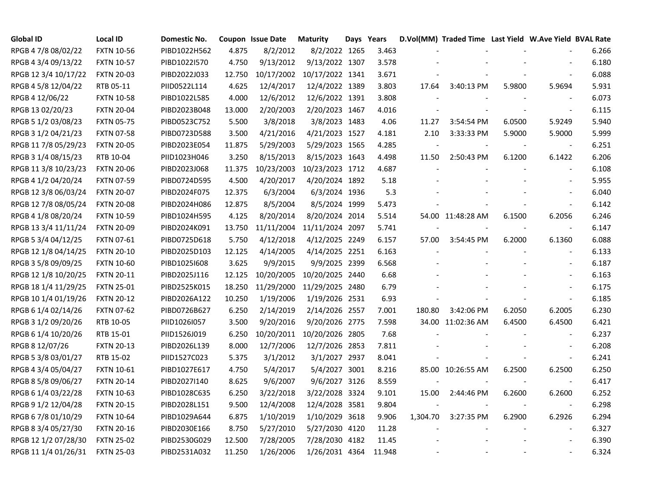| <b>Global ID</b>     | <b>Local ID</b>   | <b>Domestic No.</b> |        | Coupon Issue Date | <b>Maturity</b> | Days Years |        |          | D.Vol(MM) Traded Time Last Yield W.Ave Yield BVAL Rate |        |                          |       |
|----------------------|-------------------|---------------------|--------|-------------------|-----------------|------------|--------|----------|--------------------------------------------------------|--------|--------------------------|-------|
| RPGB 4 7/8 08/02/22  | <b>FXTN 10-56</b> | PIBD1022H562        | 4.875  | 8/2/2012          | 8/2/2022 1265   |            | 3.463  |          |                                                        |        |                          | 6.266 |
| RPGB 4 3/4 09/13/22  | <b>FXTN 10-57</b> | PIBD1022I570        | 4.750  | 9/13/2012         | 9/13/2022 1307  |            | 3.578  |          |                                                        |        |                          | 6.180 |
| RPGB 12 3/4 10/17/22 | <b>FXTN 20-03</b> | PIBD2022J033        | 12.750 | 10/17/2002        | 10/17/2022 1341 |            | 3.671  |          |                                                        |        |                          | 6.088 |
| RPGB 4 5/8 12/04/22  | RTB 05-11         | PIID0522L114        | 4.625  | 12/4/2017         | 12/4/2022 1389  |            | 3.803  | 17.64    | 3:40:13 PM                                             | 5.9800 | 5.9694                   | 5.931 |
| RPGB 4 12/06/22      | <b>FXTN 10-58</b> | PIBD1022L585        | 4.000  | 12/6/2012         | 12/6/2022 1391  |            | 3.808  |          |                                                        |        |                          | 6.073 |
| RPGB 13 02/20/23     | <b>FXTN 20-04</b> | PIBD2023B048        | 13.000 | 2/20/2003         | 2/20/2023 1467  |            | 4.016  |          |                                                        |        | $\blacksquare$           | 6.115 |
| RPGB 5 1/2 03/08/23  | <b>FXTN 05-75</b> | PIBD0523C752        | 5.500  | 3/8/2018          | 3/8/2023 1483   |            | 4.06   | 11.27    | 3:54:54 PM                                             | 6.0500 | 5.9249                   | 5.940 |
| RPGB 3 1/2 04/21/23  | <b>FXTN 07-58</b> | PIBD0723D588        | 3.500  | 4/21/2016         | 4/21/2023 1527  |            | 4.181  | 2.10     | 3:33:33 PM                                             | 5.9000 | 5.9000                   | 5.999 |
| RPGB 11 7/8 05/29/23 | <b>FXTN 20-05</b> | PIBD2023E054        | 11.875 | 5/29/2003         | 5/29/2023 1565  |            | 4.285  |          |                                                        |        | $\overline{\phantom{a}}$ | 6.251 |
| RPGB 3 1/4 08/15/23  | RTB 10-04         | PIID1023H046        | 3.250  | 8/15/2013         | 8/15/2023 1643  |            | 4.498  | 11.50    | 2:50:43 PM                                             | 6.1200 | 6.1422                   | 6.206 |
| RPGB 11 3/8 10/23/23 | <b>FXTN 20-06</b> | PIBD2023J068        | 11.375 | 10/23/2003        | 10/23/2023 1712 |            | 4.687  |          |                                                        |        | $\blacksquare$           | 6.108 |
| RPGB 4 1/2 04/20/24  | <b>FXTN 07-59</b> | PIBD0724D595        | 4.500  | 4/20/2017         | 4/20/2024 1892  |            | 5.18   |          |                                                        |        | $\overline{\phantom{a}}$ | 5.955 |
| RPGB 12 3/8 06/03/24 | <b>FXTN 20-07</b> | PIBD2024F075        | 12.375 | 6/3/2004          | 6/3/2024 1936   |            | 5.3    |          |                                                        |        |                          | 6.040 |
| RPGB 12 7/8 08/05/24 | <b>FXTN 20-08</b> | PIBD2024H086        | 12.875 | 8/5/2004          | 8/5/2024 1999   |            | 5.473  |          |                                                        |        |                          | 6.142 |
| RPGB 4 1/8 08/20/24  | <b>FXTN 10-59</b> | PIBD1024H595        | 4.125  | 8/20/2014         | 8/20/2024 2014  |            | 5.514  |          | 54.00 11:48:28 AM                                      | 6.1500 | 6.2056                   | 6.246 |
| RPGB 13 3/4 11/11/24 | <b>FXTN 20-09</b> | PIBD2024K091        | 13.750 | 11/11/2004        | 11/11/2024 2097 |            | 5.741  |          |                                                        |        |                          | 6.147 |
| RPGB 5 3/4 04/12/25  | <b>FXTN 07-61</b> | PIBD0725D618        | 5.750  | 4/12/2018         | 4/12/2025 2249  |            | 6.157  | 57.00    | 3:54:45 PM                                             | 6.2000 | 6.1360                   | 6.088 |
| RPGB 12 1/8 04/14/25 | <b>FXTN 20-10</b> | PIBD2025D103        | 12.125 | 4/14/2005         | 4/14/2025 2251  |            | 6.163  |          |                                                        |        |                          | 6.133 |
| RPGB 3 5/8 09/09/25  | <b>FXTN 10-60</b> | PIBD1025I608        | 3.625  | 9/9/2015          | 9/9/2025 2399   |            | 6.568  |          |                                                        |        |                          | 6.187 |
| RPGB 12 1/8 10/20/25 | <b>FXTN 20-11</b> | PIBD2025J116        | 12.125 | 10/20/2005        | 10/20/2025 2440 |            | 6.68   |          |                                                        |        |                          | 6.163 |
| RPGB 18 1/4 11/29/25 | <b>FXTN 25-01</b> | PIBD2525K015        | 18.250 | 11/29/2000        | 11/29/2025 2480 |            | 6.79   |          |                                                        |        |                          | 6.175 |
| RPGB 10 1/4 01/19/26 | <b>FXTN 20-12</b> | PIBD2026A122        | 10.250 | 1/19/2006         | 1/19/2026 2531  |            | 6.93   |          |                                                        |        |                          | 6.185 |
| RPGB 6 1/4 02/14/26  | <b>FXTN 07-62</b> | PIBD0726B627        | 6.250  | 2/14/2019         | 2/14/2026 2557  |            | 7.001  | 180.80   | 3:42:06 PM                                             | 6.2050 | 6.2005                   | 6.230 |
| RPGB 3 1/2 09/20/26  | RTB 10-05         | PIID1026I057        | 3.500  | 9/20/2016         | 9/20/2026 2775  |            | 7.598  |          | 34.00 11:02:36 AM                                      | 6.4500 | 6.4500                   | 6.421 |
| RPGB 6 1/4 10/20/26  | RTB 15-01         | PIID1526J019        | 6.250  | 10/20/2011        | 10/20/2026 2805 |            | 7.68   |          |                                                        |        |                          | 6.237 |
| RPGB 8 12/07/26      | <b>FXTN 20-13</b> | PIBD2026L139        | 8.000  | 12/7/2006         | 12/7/2026 2853  |            | 7.811  |          |                                                        |        |                          | 6.208 |
| RPGB 5 3/8 03/01/27  | RTB 15-02         | PIID1527C023        | 5.375  | 3/1/2012          | 3/1/2027 2937   |            | 8.041  |          |                                                        |        |                          | 6.241 |
| RPGB 4 3/4 05/04/27  | <b>FXTN 10-61</b> | PIBD1027E617        | 4.750  | 5/4/2017          | 5/4/2027 3001   |            | 8.216  |          | 85.00 10:26:55 AM                                      | 6.2500 | 6.2500                   | 6.250 |
| RPGB 8 5/8 09/06/27  | <b>FXTN 20-14</b> | PIBD2027I140        | 8.625  | 9/6/2007          | 9/6/2027 3126   |            | 8.559  |          |                                                        |        |                          | 6.417 |
| RPGB 6 1/4 03/22/28  | <b>FXTN 10-63</b> | PIBD1028C635        | 6.250  | 3/22/2018         | 3/22/2028 3324  |            | 9.101  | 15.00    | 2:44:46 PM                                             | 6.2600 | 6.2600                   | 6.252 |
| RPGB 9 1/2 12/04/28  | <b>FXTN 20-15</b> | PIBD2028L151        | 9.500  | 12/4/2008         | 12/4/2028 3581  |            | 9.804  |          |                                                        |        |                          | 6.298 |
| RPGB 6 7/8 01/10/29  | <b>FXTN 10-64</b> | PIBD1029A644        | 6.875  | 1/10/2019         | 1/10/2029 3618  |            | 9.906  | 1,304.70 | 3:27:35 PM                                             | 6.2900 | 6.2926                   | 6.294 |
| RPGB 8 3/4 05/27/30  | <b>FXTN 20-16</b> | PIBD2030E166        | 8.750  | 5/27/2010         | 5/27/2030 4120  |            | 11.28  |          |                                                        |        |                          | 6.327 |
| RPGB 12 1/2 07/28/30 | <b>FXTN 25-02</b> | PIBD2530G029        | 12.500 | 7/28/2005         | 7/28/2030 4182  |            | 11.45  |          |                                                        |        |                          | 6.390 |
| RPGB 11 1/4 01/26/31 | <b>FXTN 25-03</b> | PIBD2531A032        | 11.250 | 1/26/2006         | 1/26/2031 4364  |            | 11.948 |          |                                                        |        |                          | 6.324 |